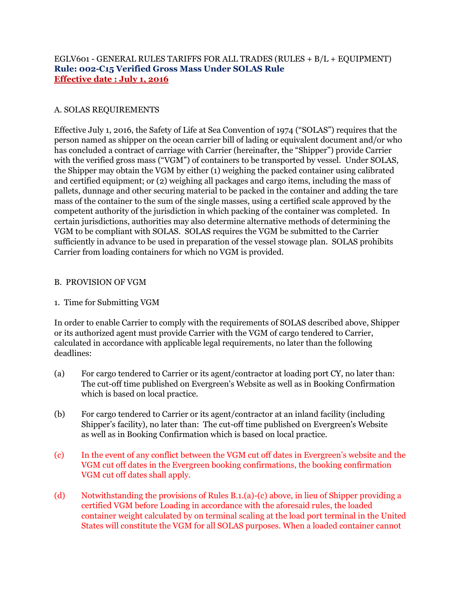# EGLV601 - GENERAL RULES TARIFFS FOR ALL TRADES (RULES + B/L + EQUIPMENT) **Rule: 002-C15 Verified Gross Mass Under SOLAS Rule Effective date : July 1, 2016**

# A. SOLAS REQUIREMENTS

Effective July 1, 2016, the Safety of Life at Sea Convention of 1974 ("SOLAS") requires that the person named as shipper on the ocean carrier bill of lading or equivalent document and/or who has concluded a contract of carriage with Carrier (hereinafter, the "Shipper") provide Carrier with the verified gross mass ("VGM") of containers to be transported by vessel. Under SOLAS, the Shipper may obtain the VGM by either (1) weighing the packed container using calibrated and certified equipment; or (2) weighing all packages and cargo items, including the mass of pallets, dunnage and other securing material to be packed in the container and adding the tare mass of the container to the sum of the single masses, using a certified scale approved by the competent authority of the jurisdiction in which packing of the container was completed. In certain jurisdictions, authorities may also determine alternative methods of determining the VGM to be compliant with SOLAS. SOLAS requires the VGM be submitted to the Carrier sufficiently in advance to be used in preparation of the vessel stowage plan. SOLAS prohibits Carrier from loading containers for which no VGM is provided.

### B. PROVISION OF VGM

# 1. Time for Submitting VGM

In order to enable Carrier to comply with the requirements of SOLAS described above, Shipper or its authorized agent must provide Carrier with the VGM of cargo tendered to Carrier, calculated in accordance with applicable legal requirements, no later than the following deadlines:

- (a) For cargo tendered to Carrier or its agent/contractor at loading port CY, no later than: The cut-off time published on Evergreen's Website as well as in Booking Confirmation which is based on local practice.
- (b) For cargo tendered to Carrier or its agent/contractor at an inland facility (including Shipper's facility), no later than: The cut-off time published on Evergreen's Website as well as in Booking Confirmation which is based on local practice.
- (c) In the event of any conflict between the VGM cut off dates in Evergreen's website and the VGM cut off dates in the Evergreen booking confirmations, the booking confirmation VGM cut off dates shall apply.
- (d) Notwithstanding the provisions of Rules B.1.(a)-(c) above, in lieu of Shipper providing a certified VGM before Loading in accordance with the aforesaid rules, the loaded container weight calculated by on terminal scaling at the load port terminal in the United States will constitute the VGM for all SOLAS purposes. When a loaded container cannot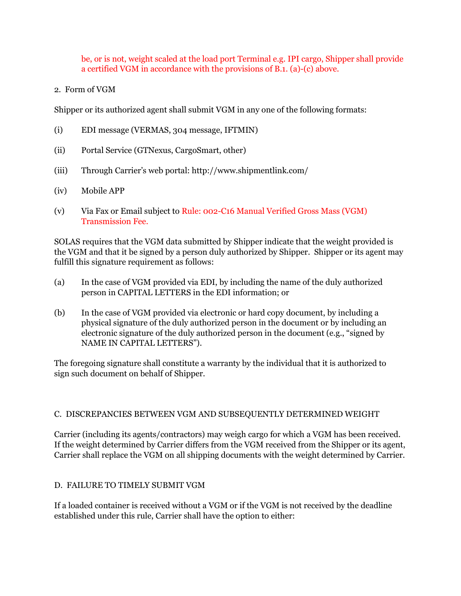be, or is not, weight scaled at the load port Terminal e.g. IPI cargo, Shipper shall provide a certified VGM in accordance with the provisions of B.1. (a)-(c) above.

2. Form of VGM

Shipper or its authorized agent shall submit VGM in any one of the following formats:

- (i) EDI message (VERMAS, 304 message, IFTMIN)
- (ii) Portal Service (GTNexus, CargoSmart, other)
- (iii) Through Carrier's web portal: http://www.shipmentlink.com/
- (iv) Mobile APP
- (v) Via Fax or Email subject to Rule: 002-C16 Manual Verified Gross Mass (VGM) Transmission Fee.

SOLAS requires that the VGM data submitted by Shipper indicate that the weight provided is the VGM and that it be signed by a person duly authorized by Shipper. Shipper or its agent may fulfill this signature requirement as follows:

- (a) In the case of VGM provided via EDI, by including the name of the duly authorized person in CAPITAL LETTERS in the EDI information; or
- (b) In the case of VGM provided via electronic or hard copy document, by including a physical signature of the duly authorized person in the document or by including an electronic signature of the duly authorized person in the document (e.g., "signed by NAME IN CAPITAL LETTERS").

The foregoing signature shall constitute a warranty by the individual that it is authorized to sign such document on behalf of Shipper.

### C. DISCREPANCIES BETWEEN VGM AND SUBSEQUENTLY DETERMINED WEIGHT

Carrier (including its agents/contractors) may weigh cargo for which a VGM has been received. If the weight determined by Carrier differs from the VGM received from the Shipper or its agent, Carrier shall replace the VGM on all shipping documents with the weight determined by Carrier.

### D. FAILURE TO TIMELY SUBMIT VGM

If a loaded container is received without a VGM or if the VGM is not received by the deadline established under this rule, Carrier shall have the option to either: